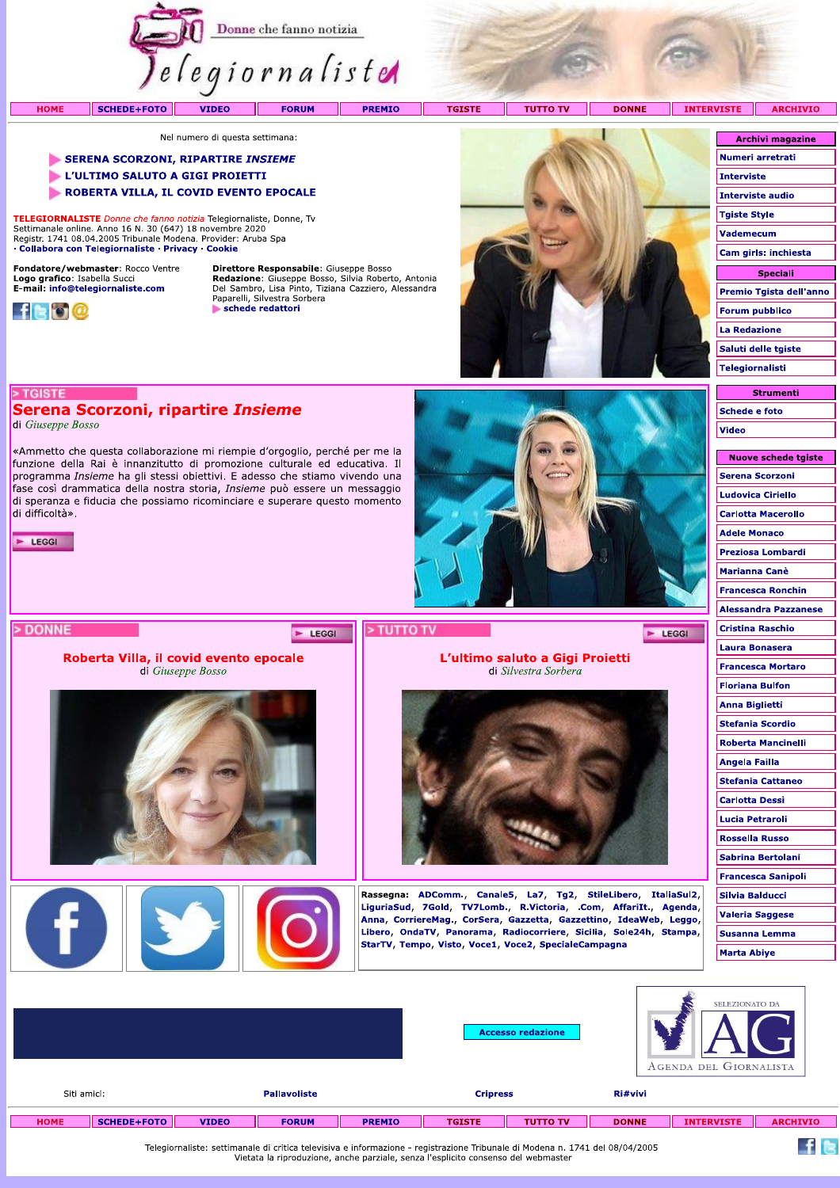

**PREMIO** 

**TUTTO TV TGISTE** - 11

**DONNE** 

 $F$  LEGGI

**INTERVISTE ARCHIVIO** 

Nel numero di questa settimana:

## SERENA SCORZONI, RIPARTIRE INSIEME

- L'ULTIMO SALUTO A GIGI PROIETTI
- ROBERTA VILLA, IL COVID EVENTO EPOCALE

TELEGIORNALISTE Donne che fanno notizia Telegiornaliste, Donne, Tv Settimanale online. Anno 16 N. 30 (647) 18 novembre 2020<br>Registr. 1741 08.04.2005 Tribunale Modena. Provider: Aruba Spa · Collabora con Telegiornaliste · Privacy · Cookie

Serena Scorzoni, ripartire *Insieme* 

«Ammetto che questa collaborazione mi riempie d'orgoglio, perché per me la funzione della Rai è innanzitutto di promozione culturale ed educativa. Il programma *Insieme* ha gli stessi obiettivi. E adesso che stiamo vivendo una fase così drammatica della nostra storia, Insieme può essere un messaggio di speranza e fiducia che possiamo ricominciare e superare questo momento

Roberta Villa, il covid evento epocale

di Giuseppe Bosso

Fondatore/webmaster: Rocco Ventre Logo grafico: Isabella Succi<br>E-mail: info@telegiornaliste.com



> TGISTE

di difficoltà».

 $\blacktriangleright$  LEGGI

> DONNE

di Giuseppe Bosso

**HOME** 

Direttore Responsabile: Giuseppe Bosso **Redazione:** Giuseppe Bosso, Silvia Roberto, Antonia<br>Del Sambro, Lisa Pinto, Tiziana Cazziero, Alessandra<br>Paparelli, Silvestra Sorbera schede redattori

E LEGGI



L'ultimo saluto a Gigi Proietti

di Silvestra Sorbera

Rassegna: ADComm., Canale5, La7, Tg2, StileLibero, ItaliaSul2, LiguriaSud, 7Gold, TV7Lomb., R.Victoria, .Com, AffariIt., Agenda, Anna, CorriereMag., CorSera, Gazzetta, Gazzettino, IdeaWeb, Leggo, Libero, OndaTV, Panorama, Radiocorriere, Sicilia, Sole24h, Stampa,

StarTV, Tempo, Visto, Voce1, Voce2, SpecialeCampagna

| <b>Archivi magazine</b> |
|-------------------------|
| Numeri arretrati        |
| <b>Interviste</b>       |
| <b>Interviste audio</b> |
| <b>Tgiste Style</b>     |
| <b>Vademecum</b>        |
| Cam girls: inchiesta    |
| <b>Speciali</b>         |
| Premio Tgista dell'anno |
| <b>Forum pubblico</b>   |
| <b>La Redazione</b>     |
| Saluti delle tgiste     |
| <b>Telegiornalisti</b>  |
|                         |

**Strumenti Schede e foto** Video

| <b>Nuove schede tgiste</b>  |
|-----------------------------|
| <b>Serena Scorzoni</b>      |
| <b>Ludovica Ciriello</b>    |
| <b>Carlotta Macerollo</b>   |
| <b>Adele Monaco</b>         |
| Preziosa Lombardi           |
| Marianna Canè               |
| <b>Francesca Ronchin</b>    |
| <b>Alessandra Pazzanese</b> |
| <b>Cristina Raschio</b>     |
| <b>Laura Bonasera</b>       |
| <b>Francesca Mortaro</b>    |
| <b>Floriana Bulfon</b>      |
| <b>Anna Biglietti</b>       |
| <b>Stefania Scordio</b>     |
| <b>Roberta Mancinelli</b>   |
| Angela Failla               |
| <b>Stefania Cattaneo</b>    |
| <b>Carlotta Dessi</b>       |
| Lucia Petraroli             |
| <b>Rossella Russo</b>       |
| Sabrina Bertolani           |
| <b>Francesca Sanipoli</b>   |
| <b>Silvia Balducci</b>      |
| <b>Valeria Saggese</b>      |
| <b>Susanna Lemma</b>        |
| Marta Abiye                 |
|                             |

|             |                    |              |                                                                                                                              |               |                 | <b>Accesso redazione</b> |              | SELEZIONATO DA<br>AGENDA DEL GIORNALISTA |                 |
|-------------|--------------------|--------------|------------------------------------------------------------------------------------------------------------------------------|---------------|-----------------|--------------------------|--------------|------------------------------------------|-----------------|
| Siti amici: |                    |              | <b>Pallavoliste</b>                                                                                                          |               | <b>Cripress</b> |                          | Ri#vivi      |                                          |                 |
| <b>HOME</b> | <b>SCHEDE+FOTO</b> | <b>VIDEO</b> | <b>FORUM</b>                                                                                                                 | <b>PREMIO</b> | <b>TGISTE</b>   | <b>TUTTO TV</b>          | <b>DONNE</b> | <b>INTERVISTE</b>                        | <b>ARCHIVIO</b> |
|             |                    |              | Telegiornaliste: settimanale di critica televisiva e informazione - registrazione Tribunale di Modena n. 1741 del 08/04/2005 |               |                 |                          |              |                                          |                 |



> TUTTO TV

Telegiornaliste: settimanale di critica televisiva e informazione - registrazione Tribunale di Modena n. 1741 del 08/04/2005 Vietata la riproduzione, anche parziale, senza l'esplicito consenso del webmaster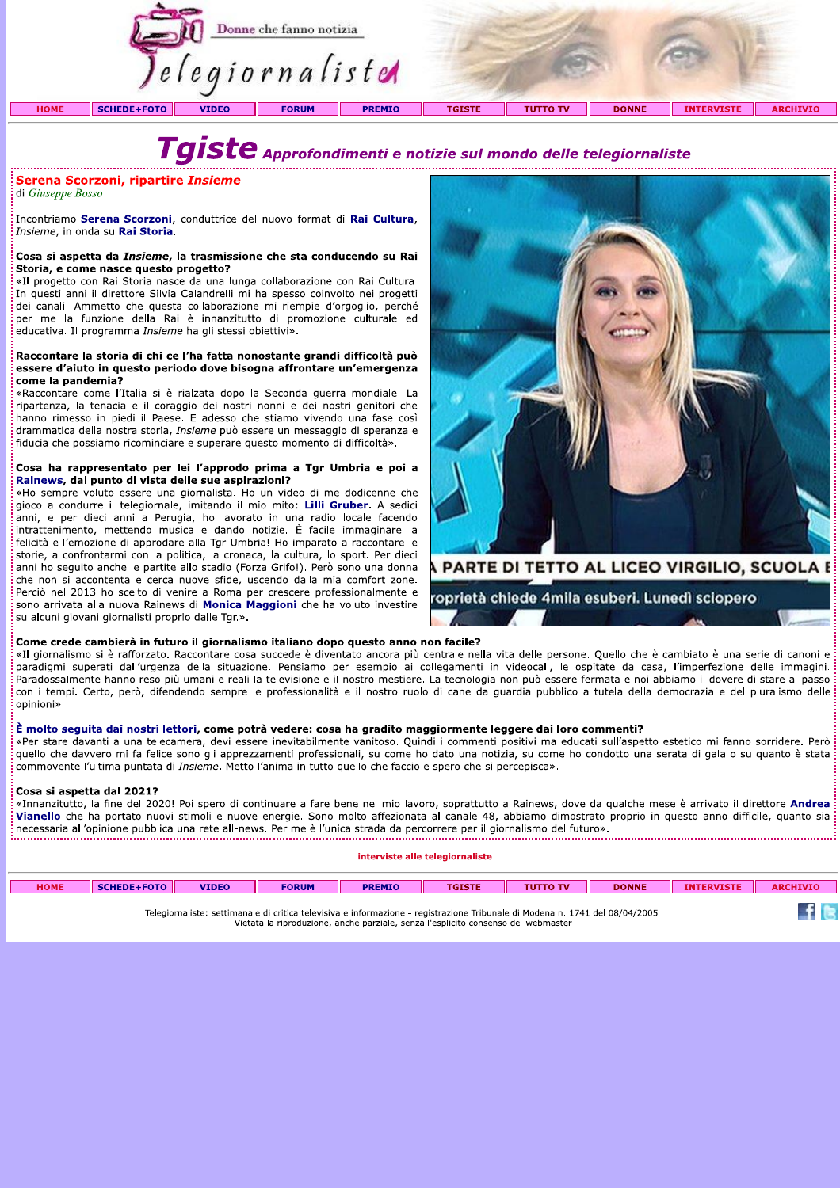

# Taiste Approfondimenti e notizie sul mondo delle telegiornaliste

## Serena Scorzoni, ripartire Insieme

di Giuseppe Bosso

Incontriamo Serena Scorzoni, conduttrice del nuovo format di Rai Cultura. Insieme, in onda su Rai Storia.

## Cosa si aspetta da Insieme, la trasmissione che sta conducendo su Rai Storia, e come nasce questo progetto?

«Il progetto con Rai Storia nasce da una lunga collaborazione con Rai Cultura. In questi anni il direttore Silvia Calandrelli mi ha spesso coinvolto nei progetti dei canali. Ammetto che questa collaborazione mi riempie d'orgoglio, perché per me la funzione della Rai è innanzitutto di promozione culturale ed educativa. Il programma *Insieme* ha gli stessi obiettivi».

## Raccontare la storia di chi ce l'ha fatta nonostante grandi difficoltà può essere d'aiuto in questo periodo dove bisogna affrontare un'emergenza come la pandemia?

«Raccontare come l'Italia si è rialzata dopo la Seconda querra mondiale. La ripartenza, la tenacia e il coraggio dei nostri nonni e dei nostri genitori che hanno rimesso in piedi il Paese. E adesso che stiamo vivendo una fase così drammatica della nostra storia, Insieme può essere un messaggio di speranza e fiducia che possiamo ricominciare e superare questo momento di difficoltà».

## Cosa ha rappresentato per lei l'approdo prima a Tgr Umbria e poi a Rainews, dal punto di vista delle sue aspirazioni?

«Ho sempre voluto essere una giornalista. Ho un video di me dodicenne che gioco a condurre il telegiornale, imitando il mio mito: Lilli Gruber. A sedici anni, e per dieci anni a Perugia, ho lavorato in una radio locale facendo intrattenimento, mettendo musica e dando notizie. È facile immaginare la felicità e l'emozione di approdare alla Tgr Umbria! Ho imparato a raccontare le storie, a confrontarmi con la politica, la cronaca, la cultura, lo sport. Per dieci anni ho seguito anche le partite allo stadio (Forza Grifo!). Però sono una donna che non si accontenta e cerca nuove sfide, uscendo dalla mia comfort zone. Perciò nel 2013 ho scelto di venire a Roma per crescere professionalmente e sono arrivata alla nuova Rainews di Monica Maggioni che ha voluto investire su alcuni giovani giornalisti proprio dalle Tgr.».



A PARTE DI TETTO AL LICEO VIRGILIO, SCUOLA E

roprietà chiede 4mila esuberi. Lunedì sciopero

## Come crede cambierà in futuro il giornalismo italiano dopo questo anno non facile?

«Il giornalismo si è rafforzato. Raccontare cosa succede è diventato ancora più centrale nella vita delle persone. Quello che è cambiato è una serie di canoni e paradigmi superati dall'urgenza della situazione. Pensiamo per esempio ai collegamenti in videocall, le ospitate da casa, l'imperfezione delle immagini. Paradossalmente hanno reso più umani e reali la televisione e il nostro mestiere. La tecnologia non può essere fermata e noi abbiamo il dovere di stare al passo con i tempi. Certo, però, difendendo sempre le professionalità e il nostro ruolo di cane da guardia pubblico a tutela della democrazia e del pluralismo delle: opinioni».

## È molto seguita dai nostri lettori, come potrà vedere: cosa ha gradito maggiormente leggere dai loro commenti?

«Per stare davanti a una telecamera, devi essere inevitabilmente vanitoso. Quindi i commenti positivi ma educati sull'aspetto estetico mi fanno sorridere. Però quello che davvero mi fa felice sono gli apprezzamenti professionali, su come ho dato una notizia, su come ho condotto una serata di gala o su quanto è stata commovente l'ultima puntata di Insieme. Metto l'anima in tutto quello che faccio e spero che si percepisca».

## Cosa si aspetta dal 2021?

«Innanzitutto, la fine del 2020! Poi spero di continuare a fare bene nel mio lavoro, soprattutto a Rainews, dove da qualche mese è arrivato il direttore Andrea Vianello che ha portato nuovi stimoli e nuove energie. Sono molto affezionata al canale 48, abbiamo dimostrato proprio in questo anno difficile, quanto sia necessaria all'opinione pubblica una rete all-news. Per me è l'unica strada da percorrere per il giornalismo del futuro». 

## interviste alle telegiornaliste

| <b>HOME</b>                                                                                                                                                                                                                                                                                                                                                    | SCHEDE+FOTO | <b>VIDEO</b> | <b>FORUM</b> | <b>PREMIO</b> | <b>TGISTE</b> | <b>TUTTO TV</b> | <b>DONNE</b> | <b>INTERVISTE</b> | <b>ARCHIVIO</b> |
|----------------------------------------------------------------------------------------------------------------------------------------------------------------------------------------------------------------------------------------------------------------------------------------------------------------------------------------------------------------|-------------|--------------|--------------|---------------|---------------|-----------------|--------------|-------------------|-----------------|
| Telegiornaliste: settimanale di critica televisiva e informazione - registrazione Tribunale di Modena n. 1741 del 08/04/2005<br>A Republic distribution of the closed control of the control of the control of the control of the control of the control of the control of the control of the control of the control of the control of the control of the cont |             |              |              |               |               |                 |              |                   |                 |

Vietata la riproduzione, anche parziale, senza l'esplicito consenso del webmaster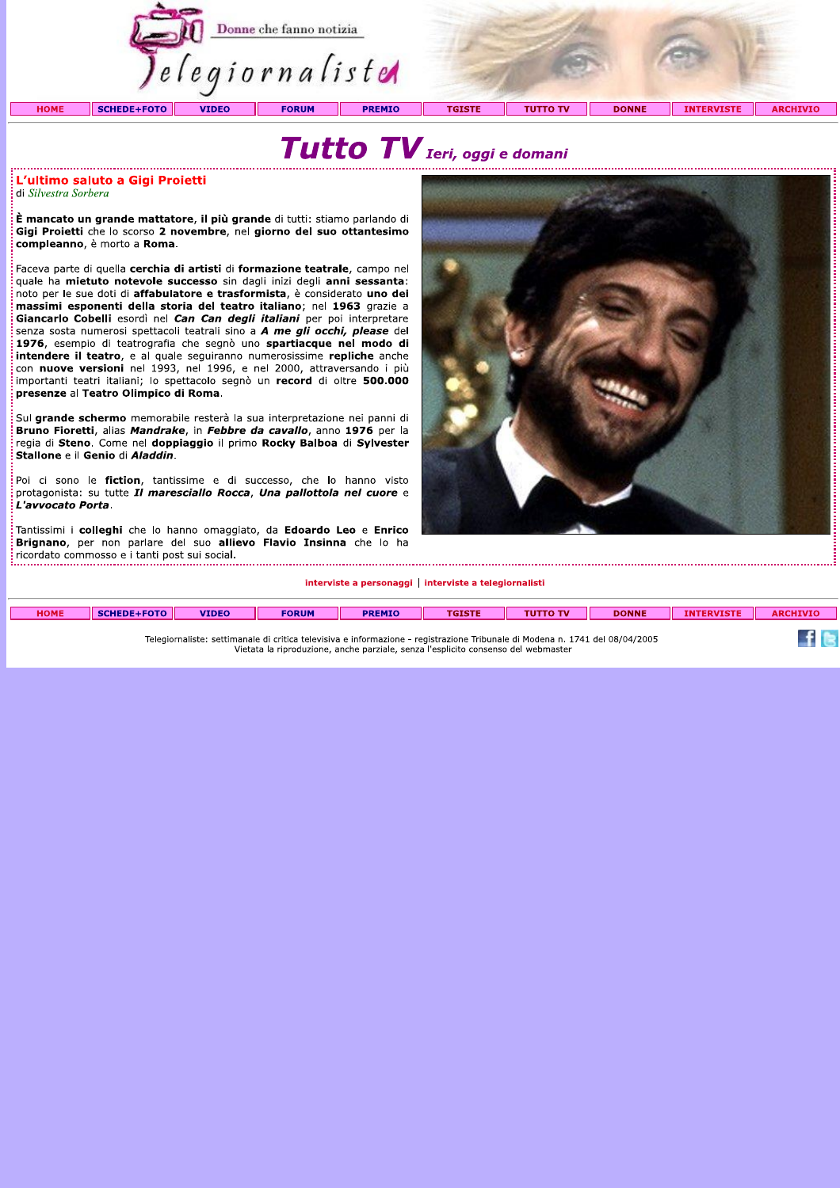

## Tutto TV Ieri, oggi e domani

## L'ultimo saluto a Gigi Proietti di Silvestra Sorbera

È mancato un grande mattatore, il più grande di tutti: stiamo parlando di Gigi Proietti che lo scorso 2 novembre, nel giorno del suo ottantesimo compleanno, è morto a Roma.

Faceva parte di quella cerchia di artisti di formazione teatrale, campo nel quale ha mietuto notevole successo sin dagli inizi degli anni sessanta: noto per le sue doti di affabulatore e trasformista, è considerato uno dei massimi esponenti della storia del teatro italiano; nel 1963 grazie a Giancarlo Cobelli esordì nel Can Can degli italiani per poi interpretare senza sosta numerosi spettacoli teatrali sino a A me gli occhi, please del 1976, esempio di teatrografia che segnò uno spartiacque nel modo di intendere il teatro, e al quale seguiranno numerosissime repliche anche con nuove versioni nel 1993, nel 1996, e nel 2000, attraversando i più importanti teatri italiani; lo spettacolo segnò un record di oltre 500.000 presenze al Teatro Olimpico di Roma.

Sul grande schermo memorabile resterà la sua interpretazione nei panni di Bruno Fioretti, alias Mandrake, in Febbre da cavallo, anno 1976 per la regia di Steno. Come nel doppiaggio il primo Rocky Balboa di Sylvester Stallone e il Genio di Aladdin.

.<br>Poi ci sono le **fiction**, tantissime e di successo, che lo hanno visto protagonista: su tutte Il maresciallo Rocca, Una pallottola nel cuore e L'avvocato Porta.

Tantissimi i colleghi che lo hanno omaggiato, da Edoardo Leo e Enrico Brignano, per non parlare del suo allievo Flavio Insinna che lo ha ricordato commosso e i tanti post sui social. 

## interviste a personaggi | interviste a telegiornalisti

| <b>HOME</b>                                                                                                                                   | <b>SCHEDE+FOTO</b> | <b>VIDEO</b> | <b>FORUM</b> | <b>PREMIO</b> | TCTCTE |  | <b>DONNE</b> | <b>INTERVISTE</b> | <b>ARCHIVIO</b> |  |
|-----------------------------------------------------------------------------------------------------------------------------------------------|--------------------|--------------|--------------|---------------|--------|--|--------------|-------------------|-----------------|--|
|                                                                                                                                               |                    |              |              |               |        |  |              |                   |                 |  |
| l del 08/04/2005<br>a televisiva e informazione - registrazione Tribunale di Modena n. 1741<br>Telegiornaliste:<br>: settimanale di critica † |                    |              |              |               |        |  |              |                   |                 |  |

Telegiornaliste: settimanale di critica televisiva e informazione - registrazione Tribunale di Modena n. 1741 del 08/04/2005 Vietata la riproduzione, anche parziale, senza l'esplicito consenso del webmaster